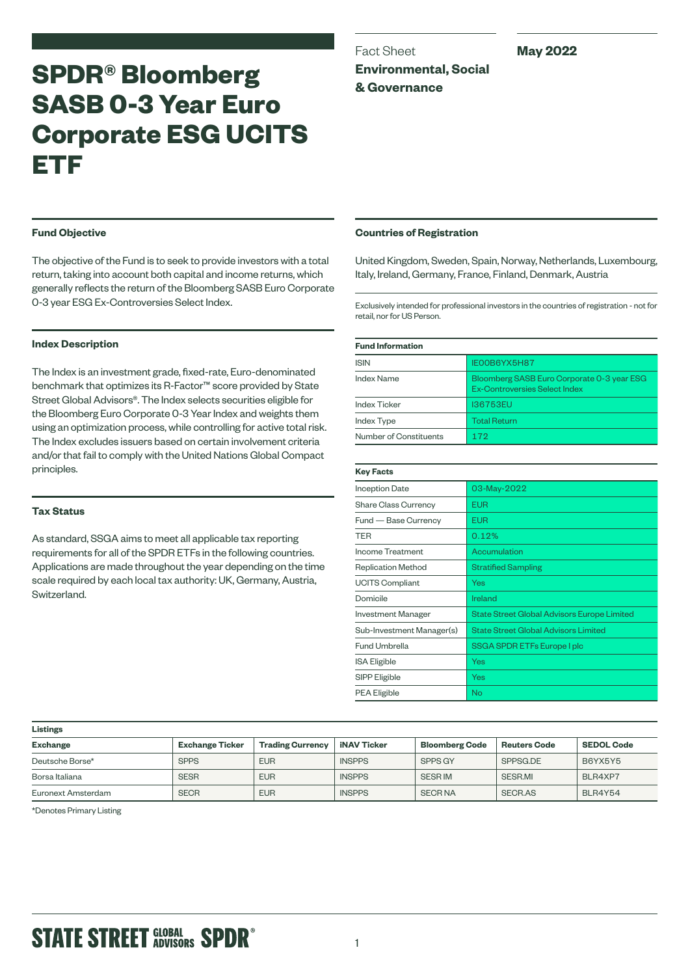# **SPDR® Bloomberg SASB 0-3 Year Euro Corporate ESG UCITS ETF**

Fact Sheet **Environmental, Social & Governance**

# **May 2022**

# **Fund Objective**

The objective of the Fund is to seek to provide investors with a total return, taking into account both capital and income returns, which generally reflects the return of the Bloomberg SASB Euro Corporate 0-3 year ESG Ex-Controversies Select Index.

## **Index Description**

The Index is an investment grade, fixed-rate, Euro-denominated benchmark that optimizes its R-Factor™ score provided by State Street Global Advisors®. The Index selects securities eligible for the Bloomberg Euro Corporate 0-3 Year Index and weights them using an optimization process, while controlling for active total risk. The Index excludes issuers based on certain involvement criteria and/or that fail to comply with the United Nations Global Compact principles.

# **Tax Status**

As standard, SSGA aims to meet all applicable tax reporting requirements for all of the SPDR ETFs in the following countries. Applications are made throughout the year depending on the time scale required by each local tax authority: UK, Germany, Austria, Switzerland.

## **Countries of Registration**

United Kingdom, Sweden, Spain, Norway, Netherlands, Luxembourg, Italy, Ireland, Germany, France, Finland, Denmark, Austria

Exclusively intended for professional investors in the countries of registration - not for retail, nor for US Person.

| <b>Fund Information</b> |                                                                             |  |
|-------------------------|-----------------------------------------------------------------------------|--|
| <b>ISIN</b>             | <b>IEOOB6YX5H87</b>                                                         |  |
| <b>Index Name</b>       | Bloomberg SASB Euro Corporate 0-3 year ESG<br>Ex-Controversies Select Index |  |
| <b>Index Ticker</b>     | <b>I36753EU</b>                                                             |  |
| <b>Index Type</b>       | <b>Total Return</b>                                                         |  |
| Number of Constituents  | 172                                                                         |  |

| <b>Key Facts</b>            |                                                    |
|-----------------------------|----------------------------------------------------|
| <b>Inception Date</b>       | 03-May-2022                                        |
| <b>Share Class Currency</b> | <b>EUR</b>                                         |
| Fund — Base Currency        | EUR                                                |
| <b>TER</b>                  | 0.12%                                              |
| Income Treatment            | Accumulation                                       |
| <b>Replication Method</b>   | <b>Stratified Sampling</b>                         |
| <b>UCITS Compliant</b>      | Yes                                                |
| Domicile                    | Ireland                                            |
| <b>Investment Manager</b>   | <b>State Street Global Advisors Europe Limited</b> |
| Sub-Investment Manager(s)   | <b>State Street Global Advisors Limited</b>        |
| Fund Umbrella               | SSGA SPDR ETFs Europe I plc                        |
| <b>ISA Eligible</b>         | Yes                                                |
| SIPP Eligible               | Yes                                                |
| <b>PEA Eligible</b>         | No                                                 |

| <b>Listings</b>    |                        |                         |                    |                       |                     |                   |
|--------------------|------------------------|-------------------------|--------------------|-----------------------|---------------------|-------------------|
| <b>Exchange</b>    | <b>Exchange Ticker</b> | <b>Trading Currency</b> | <b>iNAV Ticker</b> | <b>Bloomberg Code</b> | <b>Reuters Code</b> | <b>SEDOL Code</b> |
| Deutsche Borse*    | <b>SPPS</b>            | <b>EUR</b>              | <b>INSPPS</b>      | SPPS GY               | SPPSG.DE            | B6YX5Y5           |
| Borsa Italiana     | <b>SESR</b>            | <b>EUR</b>              | <b>INSPPS</b>      | <b>SESR IM</b>        | SESR.MI             | BLR4XP7           |
| Euronext Amsterdam | <b>SECR</b>            | <b>EUR</b>              | <b>INSPPS</b>      | <b>SECRNA</b>         | SECR.AS             | BLR4Y54           |

\*Denotes Primary Listing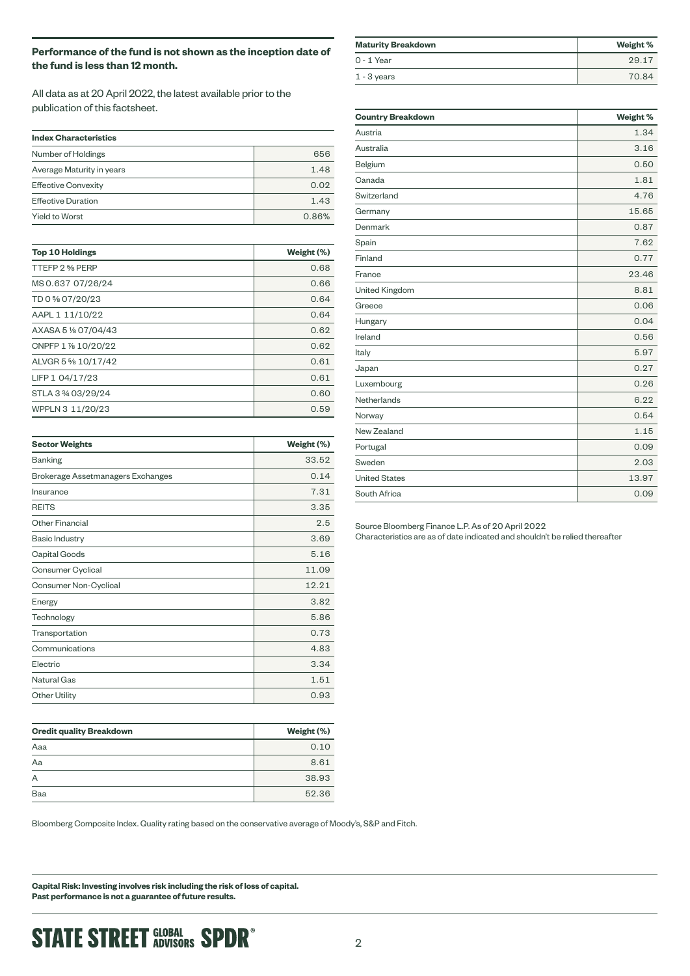# **Performance of the fund is not shown as the inception date of the fund is less than 12 month.**

All data as at 20 April 2022, the latest available prior to the publication of this factsheet.

| <b>Index Characteristics</b> |       |  |
|------------------------------|-------|--|
| Number of Holdings           | 656   |  |
| Average Maturity in years    | 1.48  |  |
| <b>Effective Convexity</b>   | 0.02  |  |
| <b>Effective Duration</b>    | 1.43  |  |
| <b>Yield to Worst</b>        | 0.86% |  |

| <b>Top 10 Holdings</b> | Weight (%) |
|------------------------|------------|
| TTEFP 2 % PERP         | 0.68       |
| MS 0.637 07/26/24      | 0.66       |
| TD 0 % 07/20/23        | 0.64       |
| AAPL 1 11/10/22        | 0.64       |
| AXASA 5 % 07/04/43     | 0.62       |
| CNPFP 1 % 10/20/22     | 0.62       |
| ALVGR 5 % 10/17/42     | 0.61       |
| LIFP 1 04/17/23        | 0.61       |
| STLA 3 3/4 03/29/24    | 0.60       |
| WPPLN 3 11/20/23       | 0.59       |

| <b>Sector Weights</b>             | Weight (%) |
|-----------------------------------|------------|
| <b>Banking</b>                    | 33.52      |
| Brokerage Assetmanagers Exchanges | 0.14       |
| Insurance                         | 7.31       |
| <b>REITS</b>                      | 3.35       |
| <b>Other Financial</b>            | 2.5        |
| <b>Basic Industry</b>             | 3.69       |
| Capital Goods                     | 5.16       |
| Consumer Cyclical                 | 11.09      |
| Consumer Non-Cyclical             | 12.21      |
| Energy                            | 3.82       |
| Technology                        | 5.86       |
| Transportation                    | 0.73       |
| Communications                    | 4.83       |
| Electric                          | 3.34       |
| Natural Gas                       | 1.51       |
| <b>Other Utility</b>              | 0.93       |

| <b>Credit quality Breakdown</b> | Weight (%) |  |
|---------------------------------|------------|--|
| Aaa                             | 0.10       |  |
| Aa                              | 8.61       |  |
| A                               | 38.93      |  |
| Baa                             | 52.36      |  |

Bloomberg Composite Index. Quality rating based on the conservative average of Moody's, S&P and Fitch.

**Capital Risk: Investing involves risk including the risk of loss of capital. Past performance is not a guarantee of future results.**

| <b>Maturity Breakdown</b> | Weight % |
|---------------------------|----------|
| $0 - 1$ Year              | 29.17    |
| $1 - 3$ years             | 70.84    |

| <b>Country Breakdown</b> | Weight % |
|--------------------------|----------|
| Austria                  | 1.34     |
| Australia                | 3.16     |
| Belgium                  | 0.50     |
| Canada                   | 1.81     |
| Switzerland              | 4.76     |
| Germany                  | 15.65    |
| Denmark                  | 0.87     |
| Spain                    | 7.62     |
| Finland                  | 0.77     |
| France                   | 23.46    |
| United Kingdom           | 8.81     |
| Greece                   | 0.06     |
| Hungary                  | 0.04     |
| Ireland                  | 0.56     |
| Italy                    | 5.97     |
| Japan                    | 0.27     |
| Luxembourg               | 0.26     |
| Netherlands              | 6.22     |
| Norway                   | 0.54     |
| New Zealand              | 1.15     |
| Portugal                 | 0.09     |
| Sweden                   | 2.03     |
| <b>United States</b>     | 13.97    |
| South Africa             | 0.09     |

Source Bloomberg Finance L.P. As of 20 April 2022 Characteristics are as of date indicated and shouldn't be relied thereafter

**STATE STREET GLOBAL SPDR®**